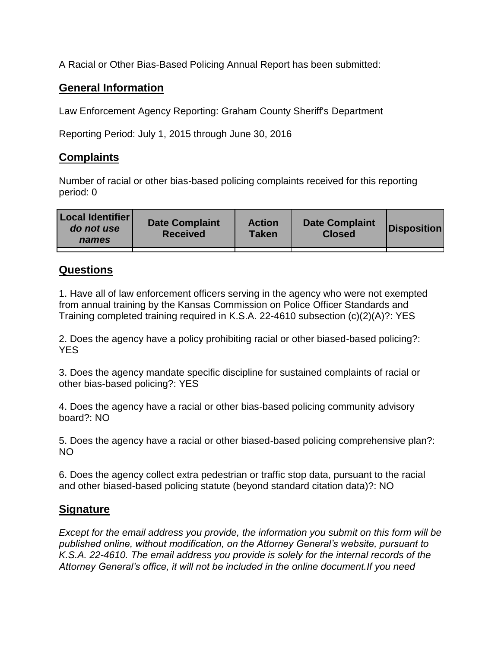A Racial or Other Bias-Based Policing Annual Report has been submitted:

## **General Information**

Law Enforcement Agency Reporting: Graham County Sheriff's Department

Reporting Period: July 1, 2015 through June 30, 2016

## **Complaints**

Number of racial or other bias-based policing complaints received for this reporting period: 0

| <b>Local Identifier</b><br>do not use<br>names | <b>Date Complaint</b><br><b>Received</b> | <b>Action</b><br><b>Taken</b> | <b>Date Complaint</b><br><b>Closed</b> | Disposition |
|------------------------------------------------|------------------------------------------|-------------------------------|----------------------------------------|-------------|
|                                                |                                          |                               |                                        |             |

## **Questions**

1. Have all of law enforcement officers serving in the agency who were not exempted from annual training by the Kansas Commission on Police Officer Standards and Training completed training required in K.S.A. 22-4610 subsection (c)(2)(A)?: YES

2. Does the agency have a policy prohibiting racial or other biased-based policing?: YES

3. Does the agency mandate specific discipline for sustained complaints of racial or other bias-based policing?: YES

4. Does the agency have a racial or other bias-based policing community advisory board?: NO

5. Does the agency have a racial or other biased-based policing comprehensive plan?: NO

6. Does the agency collect extra pedestrian or traffic stop data, pursuant to the racial and other biased-based policing statute (beyond standard citation data)?: NO

## **Signature**

*Except for the email address you provide, the information you submit on this form will be published online, without modification, on the Attorney General's website, pursuant to K.S.A. 22-4610. The email address you provide is solely for the internal records of the Attorney General's office, it will not be included in the online document.If you need*